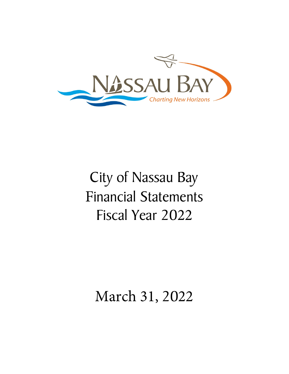

# City of Nassau Bay Financial Statements Fiscal Year 2022

## March 31, 2022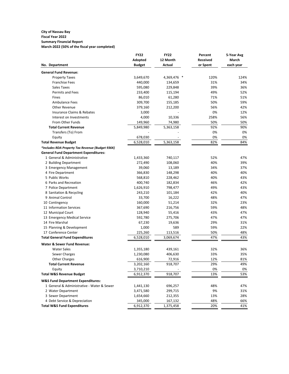#### **City of Nassau Bay Fiscal Year 2022 Summary Financial Report**

**March-2022 (50% of the fiscal year completed)**

|                                                  | <b>FY22</b>            | <b>FY22</b> | Percent         | 5-Year Avg |
|--------------------------------------------------|------------------------|-------------|-----------------|------------|
|                                                  | Adopted                | 12 Month    | <b>Received</b> | March      |
| No. Department                                   | <b>Budget</b>          | Actual      | or Spent        | each year  |
| <b>General Fund Revenue:</b>                     |                        |             |                 |            |
| <b>Property Taxes</b>                            | 3,649,670              | 4,369,476 * | 120%            | 124%       |
| <b>Franchise Fees</b>                            | 440,000                | 134,659     | 31%             | 34%        |
| Sales Taxes                                      | 595,080                | 229,848     | 39%             | 36%        |
| <b>Permits and Fees</b>                          | 233,400                | 115,194     | 49%             | 52%        |
| Fines                                            | 86,010                 | 61,280      | 71%             | 51%        |
| <b>Ambulance Fees</b>                            | 309,700                | 155,185     | 50%             | 59%        |
| Other Revenue                                    | 379,160                | 212,200     | 56%             | 42%        |
| Insurance Claims & Rebates                       | 3,000                  |             | 0%              | 12%        |
| Interest on Investments                          | 4,000                  | 10,336      | 258%            | 56%        |
| From Other Funds                                 | 149,960                | 74,980      | 50%             | 50%        |
| <b>Total Current Revenue</b>                     | 5,849,980              | 5,363,158   | 92%             | 90%        |
| Transfers (To) From                              |                        |             | 0%              | 0%         |
| Equity                                           | 678,030                |             | 0%              | 0%         |
| <b>Total Revenue Budget</b>                      | 6,528,010              | 5,363,158   | 82%             | 84%        |
| *Includes RDA Property Tax Revenue (Budget 936K) |                        |             |                 |            |
| <b>General Fund Department Expenditures:</b>     |                        |             |                 |            |
| 1 General & Administrative                       | 1,433,360              | 740,117     | 52%             | 47%        |
| 2 Building Department                            | 272,490                | 108,060     | 40%             | 39%        |
| 3 Emergency Management                           | 39,060                 | 13,189      | 34%             | 37%        |
| 4 Fire Department                                | 366,830                | 148,298     | 40%             | 40%        |
| 5 Public Works                                   | 568,810                | 228,462     | 40%             | 43%        |
| 6 Parks and Recreation                           | 400,740                | 182,834     | 46%             | 42%        |
| 7 Police Department                              | 1,626,910              | 798,477     | 49%             | 43%        |
| 8 Sanitation & Recycling                         | 243,210                | 101,184     | 42%             | 40%        |
| 9 Animal Control                                 | 33,700                 | 16,222      | 48%             | 47%        |
| 10 Contingency                                   | 160,000                | 51,214      | 32%             | 23%        |
| 11 Information Services                          | 367,690                | 216,756     | 59%             | 48%        |
| 12 Municipal Court                               | 128,940                | 55,416      | 43%             | 47%        |
| 13 Emergency Medical Service                     | 592,780                | 275,706     | 47%             | 47%        |
| 14 Fire Marshal                                  | 67,230                 | 19,636      | 29%             | 31%        |
| 15 Planning & Development                        | 1,000                  | 589         | 59%             | 22%        |
| 17 Conference Center                             | 225,260                | 113,516     | 50%             | 48%        |
| <b>Total General Fund Expenditures</b>           | 6,528,010              | 3,069,674   | 47%             | 43%        |
| <b>Water &amp; Sewer Fund Revenue:</b>           |                        |             |                 |            |
| <b>Water Sales</b>                               | 1,355,180              | 439,161     | 32%             | 36%        |
|                                                  | 1,230,080              | 406,630     | 33%             | 35%        |
| Sewer Charges                                    |                        |             | 12%             | 81%        |
| <b>Other Charges</b>                             | 616,900                | 72,916      |                 |            |
| Total Current Revenue                            | 3,202,160              | 918,707     | 29%<br>0%       | 49%<br>0%  |
| Equity<br><b>Total W&amp;S Revenue Budget</b>    | 3,710,210<br>6,912,370 | 918,707     | 13%             | 53%        |
|                                                  |                        |             |                 |            |
| <b>W&amp;S Fund Department Expenditures:</b>     |                        |             |                 |            |
| 1 General & Administrative - Water & Sewer       | 1,441,130              | 696,257     | 48%             | 47%        |
| 2 Water Department                               | 3,471,580              | 299,715     | 9%              | 31%        |
| 3 Sewer Department                               | 1,654,660              | 212,355     | 13%             | 28%        |
| 4 Debt Service & Depreciation                    | 345,000                | 167,132     | 48%             | 66%        |
| <b>Total W&amp;S Fund Expenditures</b>           | 6,912,370              | 1,375,458   | 20%             | 41%        |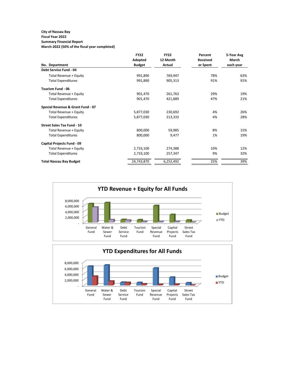#### **City of Nassau Bay Fiscal Year 2022**

## **Summary Financial Report**

**March-2022 (50% of the fiscal year completed)**

|                                   | <b>FY22</b>   | <b>FY22</b> | Percent         | 5-Year Avg |
|-----------------------------------|---------------|-------------|-----------------|------------|
|                                   | Adopted       | 12 Month    | <b>Received</b> | March      |
| No. Department                    | <b>Budget</b> | Actual      | or Spent        | each year  |
| Debt Service Fund - 04            |               |             |                 |            |
| Total Revenue + Equity            | 991,890       | 769,947     | 78%             | 63%        |
| <b>Total Expenditures</b>         | 991,890       | 905,313     | 91%             | 91%        |
| <b>Tourism Fund - 06</b>          |               |             |                 |            |
| Total Revenue + Equity            | 901,470       | 261,763     | 29%             | 19%        |
| <b>Total Expenditures</b>         | 901,470       | 421,889     | 47%             | 21%        |
| Special Revenue & Grant Fund - 07 |               |             |                 |            |
| Total Revenue + Equity            | 5,877,030     | 230,692     | 4%              | 26%        |
| <b>Total Expenditures</b>         | 5,877,030     | 213,333     | 4%              | 28%        |
| <b>Street Sales Tax Fund - 10</b> |               |             |                 |            |
| Total Revenue + Equity            | 800,000       | 59,985      | 8%              | 15%        |
| <b>Total Expenditures</b>         | 800,000       | 9,477       | 1%              | 19%        |
| Capital Projects Fund - 09        |               |             |                 |            |
| Total Revenue + Equity            | 2,733,100     | 274,388     | 10%             | 12%        |
| <b>Total Expenditures</b>         | 2,733,100     | 257,347     | 9%              | 32%        |
| <b>Total Nassau Bay Budget</b>    | 24,743,870    | 6,252,492   | 25%             | 39%        |

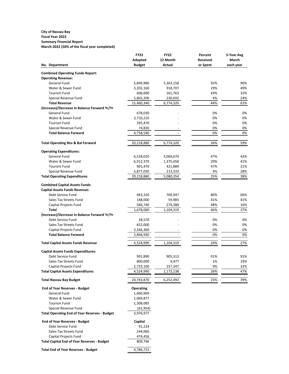#### **City of Nassau Bay Fiscal Year 2022 Summary Financial Report March-2022 (50% of the fiscal year completed)**

|                                                                | <b>FY22</b>          | <b>FY22</b>      | Percent         | 5-Year Avg |
|----------------------------------------------------------------|----------------------|------------------|-----------------|------------|
|                                                                | Adopted              | 12 Month         | <b>Received</b> | March      |
| No. Department                                                 | <b>Budget</b>        | <b>Actual</b>    | or Spent        | each year  |
| <b>Combined Operating Funds Report:</b>                        |                      |                  |                 |            |
| <b>Operating Revenue:</b>                                      |                      |                  |                 |            |
| <b>General Fund</b>                                            | 5,849,980            | 5,363,158        | 92%             | 90%        |
| Water & Sewer Fund                                             | 3,202,160            | 918,707          | 29%             | 49%        |
| <b>Tourism Fund</b>                                            | 606,000              | 261,763          | 43%             | 32%        |
| Special Revenue Fund                                           | 5,802,200            | 230,692          | 4%              | 24%        |
| <b>Total Revenue</b>                                           | 15,460,340           | 6,774,320        | 44%             | 61%        |
| (Increase)/Decrease in Balance Forward Yr/Yr                   |                      |                  |                 |            |
| <b>General Fund</b>                                            | 678,030              |                  | 0%              | 0%         |
| Water & Sewer Fund                                             | 3,710,210            |                  | 0%              | 0%         |
| <b>Tourism Fund</b>                                            | 295,470              |                  | 0%              | 0%         |
| Special Revenue Fund                                           | 74,830               |                  | 0%              | 0%         |
| <b>Total Balance Forward</b>                                   | 4,758,540            |                  | 0%              | 0%         |
|                                                                |                      |                  |                 |            |
| <b>Total Operating Rev &amp; Bal Forward</b>                   | 20,218,880           | 6,774,320        | 34%             | 59%        |
| <b>Operating Expenditures:</b>                                 |                      |                  |                 |            |
| <b>General Fund</b>                                            | 6,528,010            | 3,069,674        | 47%             | 43%        |
| Water & Sewer Fund                                             | 6,912,370            | 1,375,458        | 20%             | 41%        |
| <b>Tourism Fund</b>                                            | 901,470              | 421,889          | 47%             | 21%        |
| Special Revenue Fund                                           | 5,877,030            | 213,333          | 4%              | 28%        |
| <b>Total Operating Expenditures</b>                            | 20,218,880           | 5,080,354        | 25%             | 38%        |
|                                                                |                      |                  |                 |            |
| <b>Combined Capital Assets Funds:</b>                          |                      |                  |                 |            |
| <b>Capital Assets Funds Revenue:</b>                           |                      |                  |                 |            |
| Debt Service Fund                                              | 963,320              | 769,947          | 80%             | 66%        |
| Sales Tax Streets Fund                                         | 148,000              | 59,985           | 41%             | 41%        |
| Capital Projects Fund                                          | 566,740              | 274,388          | 48%             | 16%        |
| Total                                                          | 1,678,060            | 1,104,319        | 66%             | 37%        |
| (Increase)/Decrease in Balance Forward Yr/Yr                   |                      |                  |                 |            |
| Debt Service Fund                                              | 28,570               |                  | 0%              | 0%         |
| Sales Tax Streets Fund                                         | 652,000              |                  | 0%              | 0%         |
| Capital Projects Fund                                          | 2,166,360            |                  | 0%              | 0%         |
| <b>Total Balance Forward</b>                                   | 2,846,930            |                  | 0%              | 0%         |
| <b>Total Capital Assets Funds Revenue</b>                      | 4,524,990            | 1,104,319        | 24%             | 27%        |
|                                                                |                      |                  |                 |            |
| <b>Capital Assets Funds Expenditures:</b><br>Debt Service Fund | 991,890              |                  | 91%             | 91%        |
| Sales Tax Streets Fund                                         |                      | 905,313          | 1%              |            |
| Capital Projects Fund                                          | 800,000<br>2,733,100 | 9,477<br>257,347 | 9%              | 19%<br>32% |
| <b>Total Capital Assets Expenditures</b>                       | 4,524,990            | 1,172,138        | 26%             | 47%        |
|                                                                |                      |                  |                 |            |
| <b>Total Nassau Bay Budget</b>                                 | 24,743,870           | 6,252,492        | 25%             | 39%        |
| <b>End of Year Reserves - Budget</b>                           | <b>Operating</b>     |                  |                 |            |
| General Fund                                                   | 1,660,969            |                  |                 |            |
| Water & Sewer Fund                                             | 1,069,877            |                  |                 |            |
| <b>Tourism Fund</b>                                            | 1,308,085            |                  |                 |            |
| Special Revenue Fund                                           | (61, 954)            |                  |                 |            |
| <b>Total Operating End of Year Reserves - Budget</b>           | 3,976,977            |                  |                 |            |
| <b>End of Year Reserves - Budget</b>                           | Capital              |                  |                 |            |
| Debt Service Fund                                              | 91,224               |                  |                 |            |
| Sales Tax Streets Fund                                         | 244,066              |                  |                 |            |
| Capital Projects Fund                                          | 474,456              |                  |                 |            |
| <b>Total Capital End of Year Reserves - Budget</b>             | 809,746              |                  |                 |            |
| <b>Total End of Year Reserves - Budget</b>                     | 4,786,723            |                  |                 |            |
|                                                                |                      |                  |                 |            |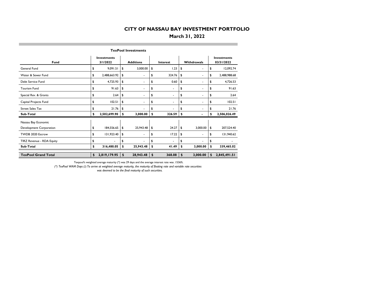#### **March 31, 2022**

| <b>TexPool Investments</b> |    |                                |    |                  |    |                          |    |             |    |                                  |  |  |
|----------------------------|----|--------------------------------|----|------------------|----|--------------------------|----|-------------|----|----------------------------------|--|--|
| Fund                       |    | <b>Investments</b><br>3/1/2022 |    | <b>Additions</b> |    | Interest                 |    | Withdrawals |    | <b>Investments</b><br>03/31/2022 |  |  |
| General Fund               | \$ | 9,091.51                       | \$ | 3,000.00         | \$ | 1.23                     | \$ | ä.          | \$ | 12,092.74                        |  |  |
| Water & Sewer Fund         | \$ | 2,488,663.92                   | \$ | ٠                | \$ | 324.76                   | \$ | ٠           | \$ | 2,488,988.68                     |  |  |
| Debt Service Fund          | \$ | 4,725.93                       | \$ | ٠                | \$ | 0.60                     | \$ | ٠           | \$ | 4,726.53                         |  |  |
| Tourism Fund               | \$ | 91.63                          | \$ | ٠                | \$ | $\overline{\phantom{0}}$ | \$ | ä.          | \$ | 91.63                            |  |  |
| Special Rev. & Grants      | \$ | 2.64                           | \$ | ۰                | \$ | ٠                        | \$ | ۰           | \$ | 2.64                             |  |  |
| Capital Projects Fund      | \$ | 102.51                         | \$ | ۰                | \$ | $\blacksquare$           | \$ | ٠           | \$ | 102.51                           |  |  |
| <b>Street Sales Tax</b>    | \$ | 21.76                          | \$ | ä.               | \$ | ä.                       | \$ | ä.          | \$ | 21.76                            |  |  |
| Sub-Total                  | \$ | 2,502,699.90                   | \$ | 3,000.00         | \$ | 326.59                   | \$ |             | \$ | 2,506,026.49                     |  |  |
| Nassau Bay Economic        |    |                                |    |                  |    |                          |    |             |    |                                  |  |  |
| Development Corporation    | \$ | 184,556.65                     | \$ | 25,943.48        | \$ | 24.27                    | \$ | 3,000.00    | \$ | 207,524.40                       |  |  |
| TWDB 2020 Escrow           | \$ | 131,923.40                     | \$ | ٠                | \$ | 17.22                    | \$ | ٠           | \$ | 131,940.62                       |  |  |
| TIRZ Revenue - RDA Equity  | \$ |                                | \$ |                  | \$ | ä.                       | \$ |             | \$ |                                  |  |  |
| Sub-Total                  | \$ | 316,480.05                     | \$ | 25,943.48        | \$ | 41.49                    | \$ | 3,000.00    | \$ | 339,465.02                       |  |  |
|                            |    |                                |    |                  |    |                          |    |             |    |                                  |  |  |
| <b>TexPool Grand Total</b> | \$ | 2,819,179.95                   | \$ | 28,943.48        | \$ | 368.08                   | \$ | 3,000.00    | \$ | 2,845,491.51                     |  |  |

Texpool's weighted average maturity (\*) was 29 days and the average interest rate was .1536%.

*(\*) TexPool WAM Days (2) To arrive at weighted average maturity, the maturity of floating rate and variable rate securities* 

 *was deemed to be the final maturity of such securities.*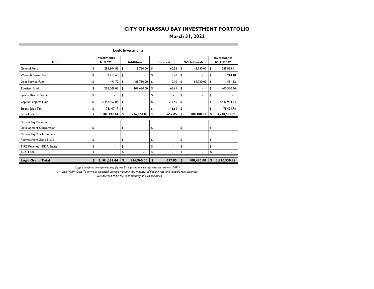#### **March 31, 2022**

|                           | <b>Logic Investments</b> |                                |    |                  |    |          |                    |            |    |                                  |  |  |  |  |
|---------------------------|--------------------------|--------------------------------|----|------------------|----|----------|--------------------|------------|----|----------------------------------|--|--|--|--|
| <b>Fund</b>               |                          | <b>Investments</b><br>3/1/2022 |    | <b>Additions</b> |    | Interest | <b>Withdrawals</b> |            |    | <b>Investments</b><br>03/31/2022 |  |  |  |  |
| General Fund              | \$                       | 285,804.85                     | \$ | 18,750.00        | \$ | 60.56    | \$                 | 18,750.00  | \$ | 285,865.41                       |  |  |  |  |
| Water & Sewer Fund        | \$                       | 2,213.63                       | \$ |                  | \$ | 0.47     | \$                 | ٠          | \$ | 2.214.10                         |  |  |  |  |
| Debt Service Fund         | \$                       | 491.72                         | \$ | 89,730.00        | \$ | 0.10     | \$                 | 89,730.00  | \$ | 491.82                           |  |  |  |  |
| Tourism Fund              | \$                       | 292,008.03                     | \$ | 108,480.00       | \$ | 62.61    | \$                 | ٠          | \$ | 400,550.64                       |  |  |  |  |
| Special Rev. & Grants     | \$                       |                                | \$ | ٠                | \$ | ٠        | \$                 | ٠          | \$ |                                  |  |  |  |  |
| Capital Projects Fund     | \$                       | 2,442,467.04                   | \$ | ٠                | \$ | 517.50   | \$                 |            | \$ | 2,442,984.54                     |  |  |  |  |
| <b>Street Sales Tax</b>   | \$                       | 78,407.17                      | \$ |                  | \$ | 16.61    | \$                 |            | \$ | 78,423.78                        |  |  |  |  |
| Sub-Total                 | \$                       | 3,101,392.44                   | \$ | 216,960.00       | \$ | 657.85   | \$                 | 108,480.00 | \$ | 3,210,530.29                     |  |  |  |  |
| Nassau Bay Economic       |                          |                                |    |                  |    |          |                    |            |    |                                  |  |  |  |  |
| Development Corporation   | \$                       | ٠                              | \$ | ٠                | \$ | ٠        | \$                 |            | \$ |                                  |  |  |  |  |
| Nassau Bay Tax Increment  |                          |                                |    |                  |    |          |                    |            |    |                                  |  |  |  |  |
| Reinvestment Zone No. I   | \$                       | ٠                              | \$ | ۰                | \$ | ۰        | \$                 | ۰          | \$ |                                  |  |  |  |  |
| TIRZ Revenue - RDA Equity | \$                       | ٠                              | \$ | ٠                | \$ | ٠        | \$                 | ٠          | \$ |                                  |  |  |  |  |
| Sub-Total                 | \$                       | $\blacksquare$                 | \$ | $\blacksquare$   | \$ | ٠        | \$                 | ٠          | \$ |                                  |  |  |  |  |
|                           |                          |                                |    |                  |    |          |                    |            |    |                                  |  |  |  |  |
| <b>Logic Grand Total</b>  | \$                       | 3,101,392.44                   | \$ | 216,960.00       | \$ | 657.85   | \$                 | 108,480.00 | \$ | 3,210,530.29                     |  |  |  |  |

Logic's weighted average maturity (\*) was 33 days and the average interest rate was .2493%.

*(\*) Logic WAM Days To arrive at weighted average maturity, the maturity of floating rate and variable rate securities* 

 *was deemed to be the final maturity of such securities.*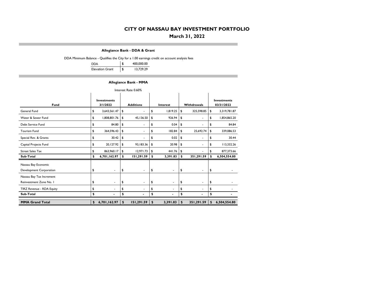#### **March 31, 2022**

**Allegiance Bank - DDA & Grant**

DDA Minimum Balance - Qualifies the City for a 1.00 earnings credit on account analysis fees

| <b>DDA</b>             | \$<br>400,000.00 |
|------------------------|------------------|
| <b>Elevation Grant</b> | \$<br>13,729.29  |

#### **Allegiance Bank - MMA**

| Interest Rate 0.60%       |    |                                |                                                    |            |    |                |    |            |                                  |              |  |  |  |
|---------------------------|----|--------------------------------|----------------------------------------------------|------------|----|----------------|----|------------|----------------------------------|--------------|--|--|--|
| Fund                      |    | <b>Investments</b><br>3/1/2022 | <b>Additions</b><br><b>Withdrawals</b><br>Interest |            |    |                |    |            | <b>Investments</b><br>03/31/2022 |              |  |  |  |
| General Fund              | \$ | 3,643,561.47                   | \$                                                 | ٠          | \$ | 1,819.25       | \$ | 325,598.85 | \$                               | 3,319,781.87 |  |  |  |
| Water & Sewer Fund        | \$ | 1,808,801.76                   | \$                                                 | 45,136.50  | \$ | 926.94         | \$ | ٠          | \$                               | 1,854,865.20 |  |  |  |
| Debt Service Fund         | \$ | 84.80                          | \$                                                 | ۰          | \$ | 0.04           | \$ | ٠          | \$                               | 84.84        |  |  |  |
| Tourism Fund              | \$ | 364,596.43                     | \$                                                 | ۰          | \$ | 182.84         | \$ | 25,692.74  | \$                               | 339,086.53   |  |  |  |
| Special Rev. & Grants     | \$ | 30.42                          | \$                                                 | ٠          | \$ | 0.02           | \$ | ٠          | \$                               | 30.44        |  |  |  |
| Capital Projects Fund     | \$ | 20,127.92                      | \$                                                 | 93,183.36  | \$ | 20.98          | \$ | ٠          | \$                               | 113,332.26   |  |  |  |
| <b>Street Sales Tax</b>   | \$ | 863,960.17                     | \$                                                 | 12,971.73  | \$ | 441.76         | \$ |            | \$                               | 877,373.66   |  |  |  |
| Sub-Total                 | \$ | 6,701,162.97                   | \$                                                 | 151,291.59 | \$ | 3,391.83       | \$ | 351,291.59 | \$                               | 6,504,554.80 |  |  |  |
| Nassau Bay Economic       |    |                                |                                                    |            |    |                |    |            |                                  |              |  |  |  |
| Development Corporation   | \$ | $\blacksquare$                 | \$                                                 | ۰          | \$ | ٠              | \$ | ۰          | \$                               |              |  |  |  |
| Nassau Bay Tax Increment  |    |                                |                                                    |            |    |                |    |            |                                  |              |  |  |  |
| Reinvestment Zone No. I   | \$ | $\blacksquare$                 | \$                                                 | ٠          | \$ | $\blacksquare$ | \$ | ٠          | \$                               |              |  |  |  |
| TIRZ Revenue - RDA Equity | \$ | ٠                              | \$                                                 | ۰          | \$ | ٠              | \$ |            | \$                               |              |  |  |  |
| Sub-Total                 | \$ | $\blacksquare$                 | \$                                                 |            | \$ | $\blacksquare$ | \$ |            | \$                               |              |  |  |  |
| <b>MMA Grand Total</b>    | \$ | 6,701,162.97                   | \$                                                 | 151,291.59 | \$ | 3,391.83       | \$ | 351,291.59 | \$                               | 6,504,554.80 |  |  |  |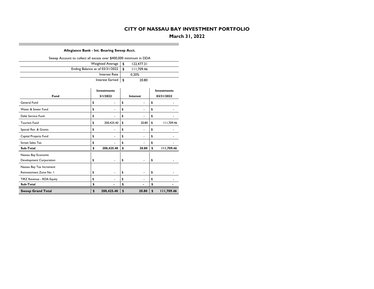## **March 31, 2022**

#### **Allegiance Bank - Int. Bearing Sweep Acct.**

| Sweep Account to collect all excess over \$400,000 minimum in DDA |                    |                                 |    |                |                    |            |  |  |  |  |  |  |
|-------------------------------------------------------------------|--------------------|---------------------------------|----|----------------|--------------------|------------|--|--|--|--|--|--|
|                                                                   |                    | <b>Weighted Average</b>         | \$ | 122,477.31     |                    |            |  |  |  |  |  |  |
|                                                                   |                    | Ending Balance as of 03/31/2022 | \$ | 111,709.46     |                    |            |  |  |  |  |  |  |
|                                                                   |                    | Interest Rate                   |    | 0.20%          |                    |            |  |  |  |  |  |  |
|                                                                   |                    | Interest Earned                 | \$ | 20.80          |                    |            |  |  |  |  |  |  |
|                                                                   |                    |                                 |    |                |                    |            |  |  |  |  |  |  |
|                                                                   | <b>Investments</b> |                                 |    |                | <b>Investments</b> |            |  |  |  |  |  |  |
| Fund                                                              |                    | 3/1/2022                        |    | Interest       |                    | 03/31/2022 |  |  |  |  |  |  |
| General Fund                                                      | \$                 | ä,                              | \$ | ٠              | \$                 |            |  |  |  |  |  |  |
| Water & Sewer Fund                                                | \$                 | ۰                               | \$ | ۰              | \$                 |            |  |  |  |  |  |  |
| Debt Service Fund                                                 | \$                 |                                 | \$ |                | \$                 |            |  |  |  |  |  |  |
| <b>Tourism Fund</b>                                               | \$                 | 200,425.40                      | \$ | 20.80          | \$                 | 111,709.46 |  |  |  |  |  |  |
| Special Rev. & Grants                                             | \$                 | $\blacksquare$                  | \$ | ä,             | \$                 |            |  |  |  |  |  |  |
| Capital Projects Fund                                             | \$                 |                                 | \$ |                | \$                 |            |  |  |  |  |  |  |
| <b>Street Sales Tax</b>                                           | \$                 |                                 | \$ |                | \$                 |            |  |  |  |  |  |  |
| Sub-Total                                                         | \$                 | 200,425.40                      | \$ | 20.80          | \$                 | 111,709.46 |  |  |  |  |  |  |
| Nassau Bay Economic                                               |                    |                                 |    |                |                    |            |  |  |  |  |  |  |
| Development Corporation                                           | \$                 |                                 | \$ |                | \$                 |            |  |  |  |  |  |  |
| Nassau Bay Tax Increment                                          |                    |                                 |    |                |                    |            |  |  |  |  |  |  |
| Reinvestment Zone No. I                                           | \$                 | ٠                               | \$ | ٠              | \$                 |            |  |  |  |  |  |  |
| TIRZ Revenue - RDA Equity                                         | \$                 |                                 | \$ | ۰              | \$                 |            |  |  |  |  |  |  |
| Sub-Total                                                         | \$                 |                                 | \$ | $\blacksquare$ | \$                 |            |  |  |  |  |  |  |
| <b>Sweep Grand Total</b>                                          | \$                 | 200,425.40                      | \$ | 20.80          | \$                 | 111,709.46 |  |  |  |  |  |  |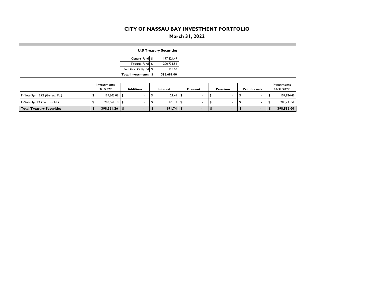## **March 31, 2022**

|                                  |                         |                          | <b>U.S Treasury Securities</b> |                          |         |                          |                           |
|----------------------------------|-------------------------|--------------------------|--------------------------------|--------------------------|---------|--------------------------|---------------------------|
|                                  |                         | General Fund \$          | 197,824.49                     |                          |         |                          |                           |
|                                  |                         | Tourism Fund \$          | 200,731.51                     |                          |         |                          |                           |
|                                  |                         | Fed. Gov. Oblig. Fd \$   | 125.00                         |                          |         |                          |                           |
|                                  |                         | Total Investments \$     | 398,681.00                     |                          |         |                          |                           |
|                                  | Investments<br>3/1/2022 | <b>Additions</b>         | Interest                       | <b>Discount</b>          | Premium | Withdrawals              | Investments<br>03/31/2022 |
| T-Note 3yr .125% (General Fd.)   | 197,803.08 \$           |                          | $21.41$ \$                     |                          |         |                          | 197,824.49                |
| T-Note 3yr 1% (Tourism Fd.)      | $200,561.18$ \$         | $\overline{\phantom{a}}$ | $170.33$ \ \$                  | $\overline{\phantom{a}}$ | ٠       | $\overline{\phantom{a}}$ | 200,731.51                |
| <b>Total Treasury Securities</b> | 398,364.26              | \$<br>۰.                 | $191.74$ \$                    | $\blacksquare$           | ٠       | ٠                        | 398,556.00                |

**COL**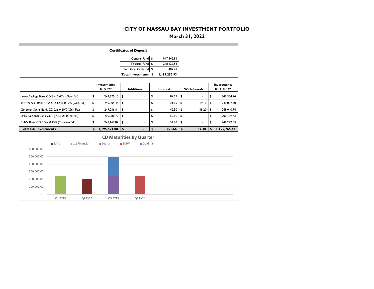## **March 31, 2022**

the control of the control of

|                                                  | <b>Certificates of Deposit</b> |                |    |                                |            |                                 |    |              |    |             |    |                                  |  |
|--------------------------------------------------|--------------------------------|----------------|----|--------------------------------|------------|---------------------------------|----|--------------|----|-------------|----|----------------------------------|--|
|                                                  |                                |                |    |                                |            | General Fund \$                 |    | 947,542.91   |    |             |    |                                  |  |
|                                                  |                                |                |    |                                |            | Tourism Fund                    | \$ | 248,222.53   |    |             |    |                                  |  |
|                                                  |                                |                |    |                                |            | Fed. Gov. Oblig. Fd \$          |    | 1,487.49     |    |             |    |                                  |  |
|                                                  |                                |                |    |                                |            | Total Investments \$            |    | 1,197,252.93 |    |             |    |                                  |  |
|                                                  |                                |                |    | <b>Investments</b><br>3/1/2022 |            | <b>Additions</b>                |    | Interest     |    | Withdrawals |    | <b>Investments</b><br>03/31/2022 |  |
| Luana Savings Bank CD 3yr 0.40% (Gen. Fd.)       |                                |                | \$ | 249,270.15                     | \$         |                                 | \$ | 84.59        | \$ |             | \$ | 249,354.74                       |  |
| 1st Financial Bank USA CD 1.5yr 0.10% (Gen. Fd.) |                                |                | \$ | 249,005.45                     | \$         | ä,                              | \$ | 21.15        | \$ | 19.10       | \$ | 249,007.50                       |  |
| Goldman Sachs Bank CD 2yr 0.20% (Gen Fd.)        |                                |                | \$ | 249,036.84                     | \$         |                                 | \$ | 42.30        | \$ | 38.20       | \$ | 249,040.94                       |  |
| Safra National Bank CD Iyr 0.30% (Gen Fd.)       |                                |                | \$ | 200,088.77                     | \$         | -                               | \$ | 50.96        | \$ |             | \$ | 200, 139.73                      |  |
| BMW Bank CD 2.5yr 0.25% (Tourism Fd.)            |                                |                | \$ | 248,169.87                     | \$         | ä,                              | \$ | 52.66        | \$ |             | \$ | 248,222.53                       |  |
| <b>Total CD Investments</b>                      |                                |                | \$ | 1,195,571.08                   | \$         | $\blacksquare$                  | \$ | 251.66       | \$ | 57.30       | \$ | 1,195,765.44                     |  |
|                                                  |                                |                |    |                                |            | <b>CD Maturities By Quarter</b> |    |              |    |             |    |                                  |  |
|                                                  | ■ Safra                        | ■1st Financial |    | <b>■</b> Luana                 | <b>BMW</b> | Goldman                         |    |              |    |             |    |                                  |  |
| 600,000.00                                       |                                |                |    |                                |            |                                 |    |              |    |             |    |                                  |  |
| 500,000.00                                       |                                |                |    |                                |            |                                 |    |              |    |             |    |                                  |  |
| 400,000.00                                       |                                |                |    |                                |            |                                 |    |              |    |             |    |                                  |  |
|                                                  |                                |                |    |                                |            |                                 |    |              |    |             |    |                                  |  |
| 300,000.00                                       |                                |                |    |                                |            |                                 |    |              |    |             |    |                                  |  |
| 200,000.00                                       |                                |                |    |                                |            |                                 |    |              |    |             |    |                                  |  |
| 100,000.00                                       |                                |                |    |                                |            |                                 |    |              |    |             |    |                                  |  |
|                                                  |                                |                |    |                                |            |                                 |    |              |    |             |    |                                  |  |

**COL**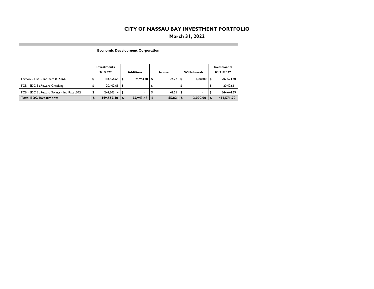## **March 31, 2022**

**Economic Development Corporation**

**COL** 

|                                              | Investments<br>3/1/2022 |      | <b>Additions</b> | Interest |              |  | <b>Withdrawals</b> | Investments<br>03/31/2022 |
|----------------------------------------------|-------------------------|------|------------------|----------|--------------|--|--------------------|---------------------------|
| Texpool - EDC - Int. Rate 0.1536%            |                         |      | $25.943.48$ \$   |          | $24.27$ \ \$ |  | $3.000.00$ \\$     | 207.524.40                |
| TCB - EDC BizReward Checking                 | 20,402.61               | l \$ | ۰.               |          | ٠.           |  |                    | 20,402.61                 |
| TCB - EDC BizReward Savings - Int. Rate .20% | $244,603.14$ \\$        |      | ۰.               |          | $41.55$   \$ |  |                    | 244.644.69                |
| <b>Total EDC Investments</b>                 | 449,562.40              |      | 25.943.48        |          | 65.82        |  | 3.000.00           | 472.571.70                |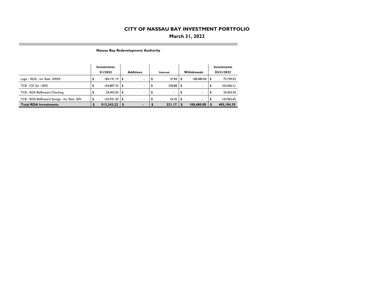## **March 31, 2022**

**Nassau Bay Redevelopment Authority**

m.

|                                              | Investments<br>3/1/2022 |                | <b>Additions</b> |      | Interest       | <b>Withdrawals</b> | Investments<br>03/31/2022 |
|----------------------------------------------|-------------------------|----------------|------------------|------|----------------|--------------------|---------------------------|
| Logic - RDA - Int. Rate .2493%               | $184,191.19$ \$         |                | ۰                |      | $37.84$ \ \$   | 108,480.00 \$      | 75,749.03                 |
| TCB - CD 3yr 1.85%                           | $164,807.33$ \$         |                | ۰.               | -56  | $258.88$ \$    | ۰                  | 165,066.21                |
| TCB - RDA BizReward Checking                 | 20,403.50 \$            |                | ٠                | - 35 | $\blacksquare$ | ٠                  | 20,403.50                 |
| TCB - RDA BizReward Savings - Int. Rate .20% |                         |                | ۰                |      |                |                    | 143.965.65                |
| <b>Total RDA Investments</b>                 | 513,343.22              | $\blacksquare$ | $\blacksquare$   |      | 321.17         | 108,480.00         | 405,184.39                |